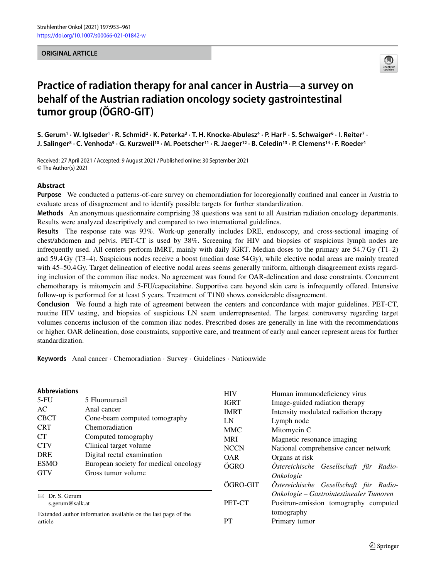#### **ORIGINAL ARTICLE**



## **Practice of radiation therapy for anal cancer in Austria—a survey on behalf of the Austrian radiation oncology society gastrointestinal tumor group (ÖGRO-GIT)**

**S. Gerum1 · W. Iglseder1 · R. Schmid2 · K. Peterka3 · T. H. Knocke-Abulesz4 · P. Harl5 · S. Schwaiger6 · I. Reiter7 · J. Salinger8 · C. Venhoda9 · G. Kurzweil10 · M. Poetscher11 · R. Jaeger12 · B. Celedin13 · P. Clemens14 · F. Roeder1**

Received: 27 April 2021 / Accepted: 9 August 2021 / Published online: 30 September 2021 © The Author(s) 2021

#### **Abstract**

**Purpose** We conducted a patterns-of-care survey on chemoradiation for locoregionally confined anal cancer in Austria to evaluate areas of disagreement and to identify possible targets for further standardization.

**Methods** An anonymous questionnaire comprising 38 questions was sent to all Austrian radiation oncology departments. Results were analyzed descriptively and compared to two international guidelines.

**Results** The response rate was 93%. Work-up generally includes DRE, endoscopy, and cross-sectional imaging of chest/abdomen and pelvis. PET-CT is used by 38%. Screening for HIV and biopsies of suspicious lymph nodes are infrequently used. All centers perform IMRT, mainly with daily IGRT. Median doses to the primary are 54.7 Gy (T1–2) and 59.4 Gy (T3–4). Suspicious nodes receive a boost (median dose 54 Gy), while elective nodal areas are mainly treated with 45–50.4 Gy. Target delineation of elective nodal areas seems generally uniform, although disagreement exists regarding inclusion of the common iliac nodes. No agreement was found for OAR-delineation and dose constraints. Concurrent chemotherapy is mitomycin and 5-FU/capecitabine. Supportive care beyond skin care is infrequently offered. Intensive follow-up is performed for at least 5 years. Treatment of T1N0 shows considerable disagreement.

**Conclusion** We found a high rate of agreement between the centers and concordance with major guidelines. PET-CT, routine HIV testing, and biopsies of suspicious LN seem underrepresented. The largest controversy regarding target volumes concerns inclusion of the common iliac nodes. Prescribed doses are generally in line with the recommendations or higher. OAR delineation, dose constraints, supportive care, and treatment of early anal cancer represent areas for further standardization.

**Keywords** Anal cancer · Chemoradiation · Survey · Guidelines · Nationwide

| <b>Abbreviations</b><br>$5-FU$<br>5 Fluorouracil<br>Anal cancer<br>AC<br><b>CBCT</b><br>Cone-beam computed tomography<br>Chemoradiation<br><b>CRT</b><br><b>CT</b><br>Computed tomography<br><b>CTV</b><br>Clinical target volume<br>Digital rectal examination<br><b>DRE</b><br><b>ESMO</b><br>European society for medical oncology<br>Gross tumor volume<br><b>GTV</b> |  | <b>HIV</b><br><b>IGRT</b><br><b>IMRT</b><br>LN<br><b>MMC</b><br><b>MRI</b><br><b>NCCN</b><br><b>OAR</b><br>ÖGRO | Human immunodeficiency virus<br>Image-guided radiation therapy<br>Intensity modulated radiation therapy<br>Lymph node<br>Mitomycin C<br>Magnetic resonance imaging<br>National comprehensive cancer network<br>Organs at risk<br>Östereichische Gesellschaft für Radio-<br>Onkologie |  |
|---------------------------------------------------------------------------------------------------------------------------------------------------------------------------------------------------------------------------------------------------------------------------------------------------------------------------------------------------------------------------|--|-----------------------------------------------------------------------------------------------------------------|--------------------------------------------------------------------------------------------------------------------------------------------------------------------------------------------------------------------------------------------------------------------------------------|--|
|                                                                                                                                                                                                                                                                                                                                                                           |  | ÖGRO-GIT                                                                                                        | Östereichische Gesellschaft für Radio-                                                                                                                                                                                                                                               |  |
| Dr. S. Gerum<br>⊠<br>s.gerum@salk.at                                                                                                                                                                                                                                                                                                                                      |  | PET-CT                                                                                                          | Onkologie – Gastrointestinealer Tumoren<br>Positron-emission tomography computed                                                                                                                                                                                                     |  |
| Extended author information available on the last page of the<br>article                                                                                                                                                                                                                                                                                                  |  | PT                                                                                                              | tomography<br>Primary tumor                                                                                                                                                                                                                                                          |  |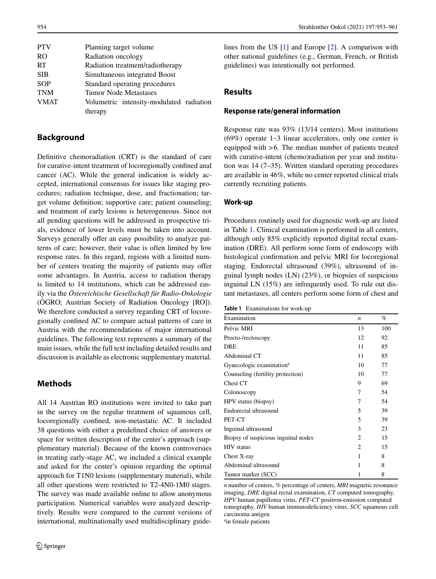| <b>PTV</b>    | Planning target volume                   |
|---------------|------------------------------------------|
| <sub>RO</sub> | Radiation oncology                       |
| <b>RT</b>     | Radiation treatment/radiotherapy         |
| <b>SIB</b>    | Simultaneous integrated Boost            |
| <b>SOP</b>    | Standard operating procedures            |
| <b>TNM</b>    | Tumor Node Metastases                    |
| <b>VMAT</b>   | Volumetric intensity-modulated radiation |
|               | therapy                                  |
|               |                                          |

## **Background**

Definitive chemoradiation (CRT) is the standard of care for curative-intent treatment of locoregionally confined anal cancer (AC). While the general indication is widely accepted, international consensus for issues like staging procedures; radiation technique, dose, and fractionation; target volume definition; supportive care; patient counseling; and treatment of early lesions is heterogeneous. Since not all pending questions will be addressed in prospective trials, evidence of lower levels must be taken into account. Surveys generally offer an easy possibility to analyze patterns of care; however, their value is often limited by low response rates. In this regard, regions with a limited number of centers treating the majority of patients may offer some advantages. In Austria, access to radiation therapy is limited to 14 institutions, which can be addressed easily via the *Östereichische Gesellschaft für Radio-Onkologie* (ÖGRO; Austrian Society of Radiation Oncology [RO]). We therefore conducted a survey regarding CRT of locoregionally confined AC to compare actual patterns of care in Austria with the recommendations of major international guidelines. The following text represents a summary of the main issues, while the full text including detailed results and discussion is available as electronic supplementary material.

## **Methods**

All 14 Austrian RO institutions were invited to take part in the survey on the regular treatment of squamous cell, locoregionally confined, non-metastatic AC. It included 38 questions with either a predefined choice of answers or space for written description of the center's approach (supplementary material). Because of the known controversies in treating early-stage AC, we included a clinical example and asked for the center's opinion regarding the optimal approach for T1N0 lesions (supplementary material), while all other questions were restricted to T2-4N0-1M0 stages. The survey was made available online to allow anonymous participation. Numerical variables were analyzed descriptively. Results were compared to the current versions of international, multinationally used multidisciplinary guidelines from the US [\[1\]](#page-7-0) and Europe [\[2\]](#page-7-1). A comparison with other national guidelines (e.g., German, French, or British guidelines) was intentionally not performed.

## **Results**

#### **Response rate/general information**

Response rate was 93% (13/14 centers). Most institutions (69%) operate 1–3 linear accelerators, only one center is equipped with > 6. The median number of patients treated with curative-intent (chemo)radiation per year and institution was 14 (7–35). Written standard operating procedures are available in 46%, while no center reported clinical trials currently recruiting patients.

#### **Work-up**

Procedures routinely used for diagnostic work-up are listed in Table [1.](#page-1-0) Clinical examination is performed in all centers, although only 85% explicitly reported digital rectal examination (DRE). All perform some form of endoscopy with histological confirmation and pelvic MRI for locoregional staging. Endorectal ultrasound (39%), ultrasound of inguinal lymph nodes (LN) (23%), or biopsies of suspicious inguinal LN (15%) are infrequently used. To rule out distant metastases, all centers perform some form of chest and

<span id="page-1-0"></span>

|  | <b>Table 1</b> Examinations for work-up |  |
|--|-----------------------------------------|--|
|--|-----------------------------------------|--|

| Examination                          | n  | $\%$ |
|--------------------------------------|----|------|
| Pelvic MRI                           | 13 | 100  |
| Procto-/rectoscopy                   | 12 | 92   |
| DRE                                  | 11 | 85   |
| Abdominal CT                         | 11 | 85   |
| Gynecologic examination <sup>a</sup> | 10 | 77   |
| Counseling (fertility protection)    | 10 | 77   |
| Chest CT                             | 9  | 69   |
| Colonoscopy                          | 7  | 54   |
| HPV status (biopsy)                  | 7  | 54   |
| Endorectal ultrasound                | 5  | 39   |
| PET-CT                               | 5  | 39   |
| Inguinal ultrasound                  | 3  | 23   |
| Biopsy of suspicious inguinal nodes  | 2  | 15   |
| HIV status                           | 2  | 15   |
| Chest X-ray                          | 1  | 8    |
| Abdominal ultrasound                 | 1  | 8    |
| Tumor marker (SCC)                   | 1  | 8    |

*n* number of centers, *%* percentage of centers, *MRI* magnetic resonance imaging, *DRE* digital rectal examination, *CT* computed tomography, *HPV* human papilloma virus, *PET-CT* positron-emission computed tomography, *HIV* human immunodeficiency virus, *SCC* squamous cell carcinoma antigen

a in female patients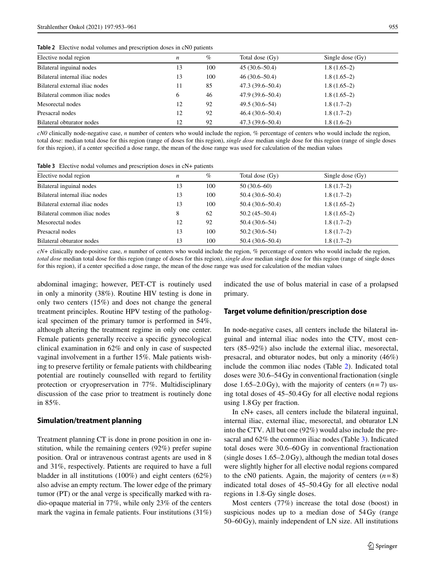<span id="page-2-0"></span>**Table 2** Elective nodal volumes and prescription doses in cN0 patients

| Elective nodal region          | n  | $\%$ | Total dose (Gy)     | Single dose $(Gv)$ |  |
|--------------------------------|----|------|---------------------|--------------------|--|
| Bilateral inguinal nodes       | 13 | 100  | $45(30.6 - 50.4)$   | $1.8(1.65-2)$      |  |
| Bilateral internal iliac nodes | 13 | 100  | $46(30.6 - 50.4)$   | $1.8(1.65-2)$      |  |
| Bilateral external iliac nodes | 11 | 85   | $47.3(39.6 - 50.4)$ | $1.8(1.65-2)$      |  |
| Bilateral common iliac nodes   | 6  | 46   | $47.9(39.6 - 50.4)$ | $1.8(1.65-2)$      |  |
| Mesorectal nodes               | 12 | 92   | $49.5(30.6-54)$     | $1.8(1.7-2)$       |  |
| Presacral nodes                | 12 | 92   | $46.4(30.6 - 50.4)$ | $1.8(1.7-2)$       |  |
| Bilateral obturator nodes      | 12 | 92   | $47.3(39.6 - 50.4)$ | $1.8(1.6-2)$       |  |
|                                |    |      |                     |                    |  |

*cN0* clinically node-negative case, *n* number of centers who would include the region, *%* percentage of centers who would include the region, total dose: median total dose for this region (range of doses for this region), *single dose* median single dose for this region (range of single doses for this region), if a center specified a dose range, the mean of the dose range was used for calculation of the median values

<span id="page-2-1"></span>

| Elective nodal region          | n  | $\%$ | Total dose (Gy)     | Single dose $(Gy)$ |
|--------------------------------|----|------|---------------------|--------------------|
| Bilateral inguinal nodes       | 13 | 100  | $50(30.6-60)$       | $1.8(1.7-2)$       |
| Bilateral internal iliac nodes | 13 | 100  | $50.4(30.6 - 50.4)$ | $1.8(1.7-2)$       |
| Bilateral external iliac nodes | 13 | 100  | $50.4(30.6 - 50.4)$ | $1.8(1.65-2)$      |
| Bilateral common iliac nodes   | 8  | 62   | $50.2(45-50.4)$     | $1.8(1.65-2)$      |
| Mesorectal nodes               | 12 | 92   | $50.4(30.6-54)$     | $1.8(1.7-2)$       |
| Presacral nodes                | 13 | 100  | $50.2(30.6-54)$     | $1.8(1.7-2)$       |
| Bilateral obturator nodes      | 13 | 100  | $50.4(30.6 - 50.4)$ | $1.8(1.7-2)$       |

*cN+* clinically node-positive case, *n* number of centers who would include the region, *%* percentage of centers who would include the region, *total dose* median total dose for this region (range of doses for this region), *single dose* median single dose for this region (range of single doses for this region), if a center specified a dose range, the mean of the dose range was used for calculation of the median values

abdominal imaging; however, PET-CT is routinely used in only a minority (38%). Routine HIV testing is done in only two centers (15%) and does not change the general treatment principles. Routine HPV testing of the pathological specimen of the primary tumor is performed in 54%, although altering the treatment regime in only one center. Female patients generally receive a specific gynecological clinical examination in 62% and only in case of suspected vaginal involvement in a further 15%. Male patients wishing to preserve fertility or female patients with childbearing potential are routinely counselled with regard to fertility protection or cryopreservation in 77%. Multidisciplinary discussion of the case prior to treatment is routinely done in 85%.

#### **Simulation/treatment planning**

Treatment planning CT is done in prone position in one institution, while the remaining centers (92%) prefer supine position. Oral or intravenous contrast agents are used in 8 and 31%, respectively. Patients are required to have a full bladder in all institutions (100%) and eight centers (62%) also advise an empty rectum. The lower edge of the primary tumor (PT) or the anal verge is specifically marked with radio-opaque material in 77%, while only 23% of the centers mark the vagina in female patients. Four institutions (31%) indicated the use of bolus material in case of a prolapsed primary.

#### **Target volume definition/prescription dose**

In node-negative cases, all centers include the bilateral inguinal and internal iliac nodes into the CTV, most centers (85–92%) also include the external iliac, mesorectal, presacral, and obturator nodes, but only a minority (46%) include the common iliac nodes (Table [2\)](#page-2-0). Indicated total doses were 30.6–54 Gy in conventional fractionation (single dose 1.65–2.0 Gy), with the majority of centers  $(n=7)$  using total doses of 45–50.4 Gy for all elective nodal regions using 1.8 Gy per fraction.

In cN+ cases, all centers include the bilateral inguinal, internal iliac, external iliac, mesorectal, and obturator LN into the CTV. All but one (92%) would also include the presacral and 62% the common iliac nodes (Table [3\)](#page-2-1). Indicated total doses were 30.6–60 Gy in conventional fractionation (single doses 1.65–2.0 Gy), although the median total doses were slightly higher for all elective nodal regions compared to the cN0 patients. Again, the majority of centers  $(n=8)$ indicated total doses of 45–50.4 Gy for all elective nodal regions in 1.8-Gy single doses.

Most centers (77%) increase the total dose (boost) in suspicious nodes up to a median dose of 54 Gy (range 50–60 Gy), mainly independent of LN size. All institutions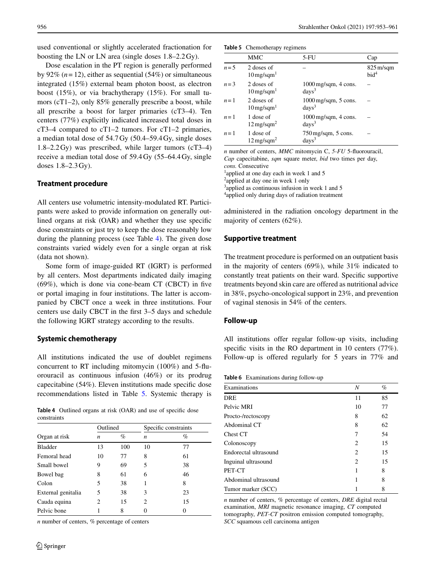used conventional or slightly accelerated fractionation for boosting the LN or LN area (single doses 1.8–2.2 Gy).

Dose escalation in the PT region is generally performed by 92%  $(n=12)$ , either as sequential  $(54%)$  or simultaneous integrated (15%) external beam photon boost, as electron boost (15%), or via brachytherapy (15%). For small tumors (cT1–2), only 85% generally prescribe a boost, while all prescribe a boost for larger primaries (cT3–4). Ten centers (77%) explicitly indicated increased total doses in cT3–4 compared to cT1–2 tumors. For cT1–2 primaries, a median total dose of 54.7 Gy (50.4–59.4 Gy, single doses 1.8–2.2 Gy) was prescribed, while larger tumors (cT3–4) receive a median total dose of 59.4 Gy (55–64.4 Gy, single doses 1.8–2.3 Gy).

#### **Treatment procedure**

All centers use volumetric intensity-modulated RT. Participants were asked to provide information on generally outlined organs at risk (OAR) and whether they use specific dose constraints or just try to keep the dose reasonably low during the planning process (see Table [4\)](#page-3-0). The given dose constraints varied widely even for a single organ at risk (data not shown).

Some form of image-guided RT (IGRT) is performed by all centers. Most departments indicated daily imaging (69%), which is done via cone-beam CT (CBCT) in five or portal imaging in four institutions. The latter is accompanied by CBCT once a week in three institutions. Four centers use daily CBCT in the first 3–5 days and schedule the following IGRT strategy according to the results.

#### **Systemic chemotherapy**

All institutions indicated the use of doublet regimens concurrent to RT including mitomycin (100%) and 5-fluorouracil as continuous infusion (46%) or its prodrug capecitabine (54%). Eleven institutions made specific dose recommendations listed in Table [5.](#page-3-1) Systemic therapy is

**Table 4** Outlined organs at risk (OAR) and use of specific dose constraints

<span id="page-3-0"></span>

|                    | Outlined |     | Specific constraints |    |
|--------------------|----------|-----|----------------------|----|
| Organ at risk      | n        | %   | n                    | %  |
| <b>Bladder</b>     | 13       | 100 | 10                   | 77 |
| Femoral head       | 10       | 77  | 8                    | 61 |
| Small bowel        | 9        | 69  | 5                    | 38 |
| Bowel bag          | 8        | 61  | 6                    | 46 |
| Colon              | 5        | 38  |                      | 8  |
| External genitalia | 5        | 38  | 3                    | 23 |
| Cauda equina       | 2        | 15  | 2                    | 15 |
| Pelvic bone        |          | 8   |                      |    |

*n* number of centers, *%* percentage of centers

<span id="page-3-1"></span>

|         | <b>MMC</b>                             | $5-FU$                                                  | Cap                                        |
|---------|----------------------------------------|---------------------------------------------------------|--------------------------------------------|
| $n=5$   | 2 doses of<br>$10 \,\mathrm{mg/sgm}^1$ |                                                         | $825 \,\mathrm{m/sgm}$<br>bid <sup>4</sup> |
| $n = 3$ | 2 doses of<br>$10$ mg/sqm $^1$         | $1000 \,\mathrm{mg/sgm}$ , 4 cons.<br>days <sup>3</sup> |                                            |
| $n=1$   | 2 doses of<br>$10$ mg/sqm $^1$         | $1000 \,\mathrm{mg/sgm}$ , 5 cons.<br>days <sup>3</sup> |                                            |
| $n=1$   | 1 dose of<br>$12 \,\mathrm{mg/sgm^2}$  | $1000 \,\mathrm{mg/sgm}$ , 4 cons.<br>days <sup>3</sup> |                                            |
| $n=1$   | 1 dose of<br>$12 \,\mathrm{mg/sgm^2}$  | $750 \,\mathrm{mg/sgm}$ , 5 cons.<br>days <sup>3</sup>  |                                            |

*n* number of centers, *MMC* mitomycin C, *5-FU* 5-fluorouracil, *Cap* capecitabine, *sqm* square meter, *bid* two times per day, *cons.* Consecutive <sup>1</sup>applied at one day each in week 1 and 5

<sup>2</sup>applied at day one in week 1 only

3applied as continuous infusion in week 1 and 5

4 applied only during days of radiation treatment

administered in the radiation oncology department in the majority of centers (62%).

#### **Supportive treatment**

The treatment procedure is performed on an outpatient basis in the majority of centers (69%), while 31% indicated to constantly treat patients on their ward. Specific supportive treatments beyond skin care are offered as nutritional advice in 38%, psycho-oncological support in 23%, and prevention of vaginal stenosis in 54% of the centers.

#### **Follow-up**

All institutions offer regular follow-up visits, including specific visits in the RO department in 10 centers (77%). Follow-up is offered regularly for 5 years in 77% and

<span id="page-3-2"></span>**Table 6** Examinations during follow-up

| Examinations          | N  | $\%$ |
|-----------------------|----|------|
| <b>DRE</b>            | 11 | 85   |
| Pelvic MRI            | 10 | 77   |
| Procto-/rectoscopy    | 8  | 62   |
| Abdominal CT          | 8  | 62   |
| Chest CT              | 7  | 54   |
| Colonoscopy           | 2  | 15   |
| Endorectal ultrasound | 2  | 15   |
| Inguinal ultrasound   | 2  | 15   |
| PET-CT                |    | 8    |
| Abdominal ultrasound  |    | 8    |
| Tumor marker (SCC)    |    | 8    |

*n* number of centers, *%* percentage of centers, *DRE* digital rectal examination, *MRI* magnetic resonance imaging, *CT* computed tomography, *PET-CT* positron emission computed tomography, *SCC* squamous cell carcinoma antigen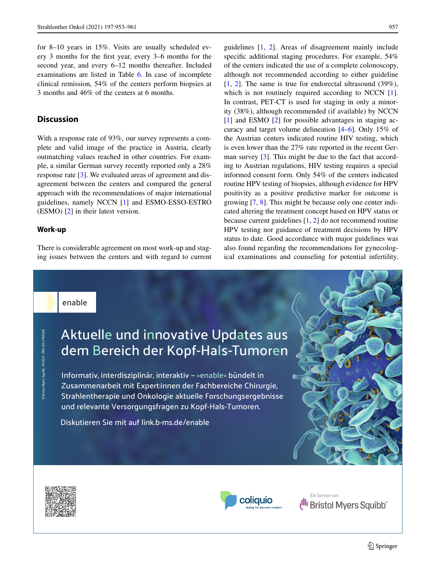for 8–10 years in 15%. Visits are usually scheduled every 3 months for the first year, every 3–6 months for the second year, and every 6–12 months thereafter. Included examinations are listed in Table [6.](#page-3-2) In case of incomplete clinical remission, 54% of the centers perform biopsies at 3 months and 46% of the centers at 6 months.

## **Discussion**

With a response rate of 93%, our survey represents a complete and valid image of the practice in Austria, clearly outmatching values reached in other countries. For example, a similar German survey recently reported only a 28% response rate [\[3\]](#page-7-2). We evaluated areas of agreement and disagreement between the centers and compared the general approach with the recommendations of major international guidelines, namely NCCN [\[1\]](#page-7-0) and ESMO-ESSO-ESTRO (ESMO) [\[2\]](#page-7-1) in their latest version.

#### **Work-up**

© Bristol Myers Squibb, 10/2021. ONC-DE-2100440

© Bristol Myers Squibb, 10/2021. ONC-DE-210044

There is considerable agreement on most work-up and staging issues between the centers and with regard to current guidelines [\[1,](#page-7-0) [2\]](#page-7-1). Areas of disagreement mainly include specific additional staging procedures. For example, 54% of the centers indicated the use of a complete colonoscopy, although not recommended according to either guideline [\[1,](#page-7-0) [2\]](#page-7-1). The same is true for endorectal ultrasound (39%), which is not routinely required according to NCCN [\[1\]](#page-7-0). In contrast, PET-CT is used for staging in only a minority (38%), although recommended (if available) by NCCN [\[1\]](#page-7-0) and ESMO [\[2\]](#page-7-1) for possible advantages in staging accuracy and target volume delineation [\[4–](#page-7-3)[6\]](#page-7-4). Only 15% of the Austrian centers indicated routine HIV testing, which is even lower than the 27% rate reported in the recent German survey [\[3\]](#page-7-2). This might be due to the fact that according to Austrian regulations, HIV testing requires a special informed consent form. Only 54% of the centers indicated routine HPV testing of biopsies, although evidence for HPV positivity as a positive predictive marker for outcome is growing [\[7,](#page-7-5) [8\]](#page-7-6). This might be because only one center indicated altering the treatment concept based on HPV status or because current guidelines [\[1,](#page-7-0) [2\]](#page-7-1) do not recommend routine HPV testing nor guidance of treatment decisions by HPV status to date. Good accordance with major guidelines was also found regarding the recommendations for gynecological examinations and counseling for potential infertility.

enable

# Aktuelle und innovative Updates aus dem Bereich der Kopf-Hals-Tumoren

Informativ, interdisziplinär, interaktiv - »enable« bündelt in Zusammenarbeit mit Expert:innen der Fachbereiche Chirurgie, Strahlentherapie und Onkologie aktuelle Forschungsergebnisse und relevante Versorgungsfragen zu Kopf-Hals-Tumoren.

Diskutieren Sie mit auf link.b-ms.de/enable





Ill Bristol Myers Squibb Ein Service von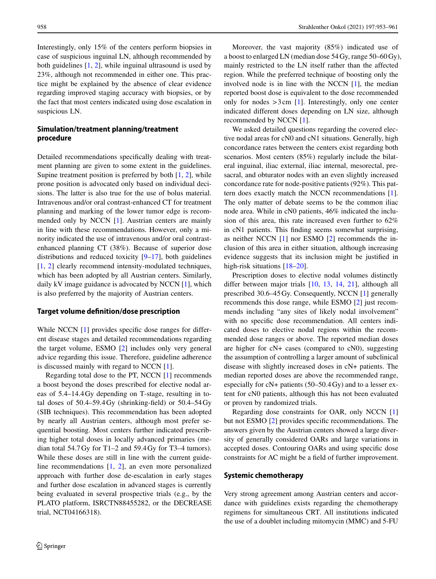Interestingly, only 15% of the centers perform biopsies in case of suspicious inguinal LN, although recommended by both guidelines [\[1,](#page-7-0) [2\]](#page-7-1), while inguinal ultrasound is used by 23%, although not recommended in either one. This practice might be explained by the absence of clear evidence regarding improved staging accuracy with biopsies, or by the fact that most centers indicated using dose escalation in suspicious LN.

## **Simulation/treatment planning/treatment procedure**

Detailed recommendations specifically dealing with treatment planning are given to some extent in the guidelines. Supine treatment position is preferred by both  $[1, 2]$  $[1, 2]$  $[1, 2]$ , while prone position is advocated only based on individual decisions. The latter is also true for the use of bolus material. Intravenous and/or oral contrast-enhanced CT for treatment planning and marking of the lower tumor edge is recommended only by NCCN [\[1\]](#page-7-0). Austrian centers are mainly in line with these recommendations. However, only a minority indicated the use of intravenous and/or oral contrastenhanced planning CT (38%). Because of superior dose distributions and reduced toxicity [\[9–](#page-7-7)[17\]](#page-7-8), both guidelines [\[1,](#page-7-0) [2\]](#page-7-1) clearly recommend intensity-modulated techniques, which has been adopted by all Austrian centers. Similarly, daily kV image guidance is advocated by NCCN [\[1\]](#page-7-0), which is also preferred by the majority of Austrian centers.

#### **Target volume definition/dose prescription**

While NCCN [\[1\]](#page-7-0) provides specific dose ranges for different disease stages and detailed recommendations regarding the target volume, ESMO [\[2\]](#page-7-1) includes only very general advice regarding this issue. Therefore, guideline adherence is discussed mainly with regard to NCCN [\[1\]](#page-7-0).

Regarding total dose to the PT, NCCN [\[1\]](#page-7-0) recommends a boost beyond the doses prescribed for elective nodal areas of 5.4–14.4 Gy depending on T-stage, resulting in total doses of  $50.4 - 59.4$  Gy (shrinking-field) or  $50.4 - 54$  Gy (SIB techniques). This recommendation has been adopted by nearly all Austrian centers, although most prefer sequential boosting. Most centers further indicated prescribing higher total doses in locally advanced primaries (median total 54.7 Gy for T1–2 and 59.4 Gy for T3–4 tumors). While these doses are still in line with the current guideline recommendations [\[1,](#page-7-0) [2\]](#page-7-1), an even more personalized approach with further dose de-escalation in early stages and further dose escalation in advanced stages is currently being evaluated in several prospective trials (e.g., by the PLATO platform, ISRCTN88455282, or the DECREASE trial, NCT04166318).

Moreover, the vast majority (85%) indicated use of a boost to enlarged LN (median dose 54 Gy, range 50–60 Gy), mainly restricted to the LN itself rather than the affected region. While the preferred technique of boosting only the involved node is in line with the NCCN [\[1\]](#page-7-0), the median reported boost dose is equivalent to the dose recommended only for nodes  $>3$  cm [\[1\]](#page-7-0). Interestingly, only one center indicated different doses depending on LN size, although recommended by NCCN [\[1\]](#page-7-0).

We asked detailed questions regarding the covered elective nodal areas for cN0 and cN1 situations. Generally, high concordance rates between the centers exist regarding both scenarios. Most centers (85%) regularly include the bilateral inguinal, iliac external, iliac internal, mesorectal, presacral, and obturator nodes with an even slightly increased concordance rate for node-positive patients (92%). This pattern does exactly match the NCCN recommendations [\[1\]](#page-7-0). The only matter of debate seems to be the common iliac node area. While in cN0 patients, 46% indicated the inclusion of this area, this rate increased even further to 62% in cN1 patients. This finding seems somewhat surprising, as neither NCCN [\[1\]](#page-7-0) nor ESMO [\[2\]](#page-7-1) recommends the inclusion of this area in either situation, although increasing evidence suggests that its inclusion might be justified in high-risk situations [\[18](#page-7-9)[–20\]](#page-7-10).

Prescription doses to elective nodal volumes distinctly differ between major trials [\[10,](#page-7-11) [13,](#page-7-12) [14,](#page-7-13) [21\]](#page-7-14), although all prescribed 30.6–45 Gy. Consequently, NCCN [\[1\]](#page-7-0) generally recommends this dose range, while ESMO [\[2\]](#page-7-1) just recommends including "any sites of likely nodal involvement" with no specific dose recommendation. All centers indicated doses to elective nodal regions within the recommended dose ranges or above. The reported median doses are higher for cN+ cases (compared to cN0), suggesting the assumption of controlling a larger amount of subclinical disease with slightly increased doses in cN+ patients. The median reported doses are above the recommended range, especially for cN+ patients (50–50.4 Gy) and to a lesser extent for cN0 patients, although this has not been evaluated or proven by randomized trials.

Regarding dose constraints for OAR, only NCCN [\[1\]](#page-7-0) but not ESMO [\[2\]](#page-7-1) provides specific recommendations. The answers given by the Austrian centers showed a large diversity of generally considered OARs and large variations in accepted doses. Contouring OARs and using specific dose constraints for AC might be a field of further improvement.

#### **Systemic chemotherapy**

Very strong agreement among Austrian centers and accordance with guidelines exists regarding the chemotherapy regimens for simultaneous CRT. All institutions indicated the use of a doublet including mitomycin (MMC) and 5-FU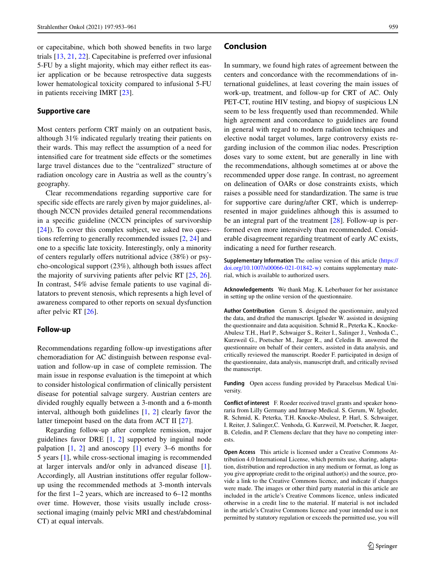or capecitabine, which both showed benefits in two large trials [\[13,](#page-7-12) [21,](#page-7-14) [22\]](#page-7-15). Capecitabine is preferred over infusional 5-FU by a slight majority, which may either reflect its easier application or be because retrospective data suggests lower hematological toxicity compared to infusional 5-FU in patients receiving IMRT [\[23\]](#page-7-16).

#### **Supportive care**

Most centers perform CRT mainly on an outpatient basis, although 31% indicated regularly treating their patients on their wards. This may reflect the assumption of a need for intensified care for treatment side effects or the sometimes large travel distances due to the "centralized" structure of radiation oncology care in Austria as well as the country's geography.

Clear recommendations regarding supportive care for specific side effects are rarely given by major guidelines, although NCCN provides detailed general recommendations in a specific guideline (NCCN principles of survivorship [\[24\]](#page-7-17)). To cover this complex subject, we asked two questions referring to generally recommended issues [\[2,](#page-7-1) [24\]](#page-7-17) and one to a specific late toxicity. Interestingly, only a minority of centers regularly offers nutritional advice (38%) or psycho-oncological support (23%), although both issues affect the majority of surviving patients after pelvic RT [\[25,](#page-7-18) [26\]](#page-7-19). In contrast, 54% advise female patients to use vaginal dilatators to prevent stenosis, which represents a high level of awareness compared to other reports on sexual dysfunction after pelvic RT [\[26\]](#page-7-19).

#### **Follow-up**

Recommendations regarding follow-up investigations after chemoradiation for AC distinguish between response evaluation and follow-up in case of complete remission. The main issue in response evaluation is the timepoint at which to consider histological confirmation of clinically persistent disease for potential salvage surgery. Austrian centers are divided roughly equally between a 3-month and a 6-month interval, although both guidelines [\[1,](#page-7-0) [2\]](#page-7-1) clearly favor the latter timepoint based on the data from ACT II [\[27\]](#page-7-20).

Regarding follow-up after complete remission, major guidelines favor DRE [\[1,](#page-7-0) [2\]](#page-7-1) supported by inguinal node palpation  $[1, 2]$  $[1, 2]$  $[1, 2]$  and anoscopy  $[1]$  every 3–6 months for 5 years [\[1\]](#page-7-0), while cross-sectional imaging is recommended at larger intervals and/or only in advanced disease [\[1\]](#page-7-0). Accordingly, all Austrian institutions offer regular followup using the recommended methods at 3-month intervals for the first 1–2 years, which are increased to 6–12 months over time. However, those visits usually include crosssectional imaging (mainly pelvic MRI and chest/abdominal CT) at equal intervals.

#### **Conclusion**

In summary, we found high rates of agreement between the centers and concordance with the recommendations of international guidelines, at least covering the main issues of work-up, treatment, and follow-up for CRT of AC. Only PET-CT, routine HIV testing, and biopsy of suspicious LN seem to be less frequently used than recommended. While high agreement and concordance to guidelines are found in general with regard to modern radiation techniques and elective nodal target volumes, large controversy exists regarding inclusion of the common iliac nodes. Prescription doses vary to some extent, but are generally in line with the recommendations, although sometimes at or above the recommended upper dose range. In contrast, no agreement on delineation of OARs or dose constraints exists, which raises a possible need for standardization. The same is true for supportive care during/after CRT, which is underrepresented in major guidelines although this is assumed to be an integral part of the treatment [\[28\]](#page-7-21). Follow-up is performed even more intensively than recommended. Considerable disagreement regarding treatment of early AC exists, indicating a need for further research.

**Supplementary Information** The online version of this article [\(https://](https://doi.org/10.1007/s00066-021-01842-w) [doi.org/10.1007/s00066-021-01842-w\)](https://doi.org/10.1007/s00066-021-01842-w) contains supplementary material, which is available to authorized users.

**Acknowledgements** We thank Mag. K. Leberbauer for her assistance in setting up the online version of the questionnaire.

**Author Contribution** Gerum S. designed the questionnaire, analyzed the data, and drafted the manuscript. Iglseder W. assisted in designing the questionnaire and data acquisition. Schmid R., Peterka K., Knocke-Abulesz T.H., Harl P., Schwaiger S., Reiter I., Salinger J., Venhoda C., Kurzweil G., Poetscher M., Jaeger R., and Celedin B. answered the questionnaire on behalf of their centers, assisted in data analysis, and critically reviewed the manuscript. Roeder F. participated in design of the questionnaire, data analysis, manuscript draft, and critically revised the manuscript.

**Funding** Open access funding provided by Paracelsus Medical University.

**Conflict of interest** F. Roeder received travel grants and speaker honoraria from Lilly Germany and Intraop Medical. S. Gerum, W. Iglseder, R. Schmid, K. Peterka, T.H. Knocke-Abulesz, P. Harl, S. Schwaiger, I. Reiter, J. Salinger,C. Venhoda, G. Kurzweil, M. Poetscher, R. Jaeger, B. Celedin, and P. Clemens declare that they have no competing interests.

**Open Access** This article is licensed under a Creative Commons Attribution 4.0 International License, which permits use, sharing, adaptation, distribution and reproduction in any medium or format, as long as you give appropriate credit to the original author(s) and the source, provide a link to the Creative Commons licence, and indicate if changes were made. The images or other third party material in this article are included in the article's Creative Commons licence, unless indicated otherwise in a credit line to the material. If material is not included in the article's Creative Commons licence and your intended use is not permitted by statutory regulation or exceeds the permitted use, you will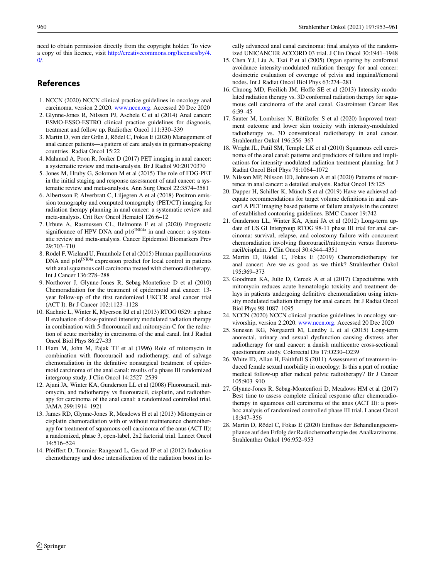need to obtain permission directly from the copyright holder. To view a copy of this licence, visit [http://creativecommons.org/licenses/by/4.](http://creativecommons.org/licenses/by/4.0/)  $\Omega$ 

## <span id="page-7-0"></span>**References**

- <span id="page-7-1"></span>1. NCCN (2020) NCCN clinical practice guidelines in oncology anal carcinoma, version 2.2020. [www.nccn.org.](http://www.nccn.org) Accessed 20 Dec 2020
- 2. Glynne-Jones R, Nilsson PJ, Aschele C et al (2014) Anal cancer: ESMO-ESSO-ESTRO clinical practice guidelines for diagnosis, treatment and follow up. Radiother Oncol 111:330–339
- <span id="page-7-2"></span>3. Martin D, von der Grün J, Rödel C, Fokas E (2020) Management of anal cancer patients—a pattern of care analysis in german-speaking countries. Radiat Oncol 15:22
- <span id="page-7-3"></span>4. Mahmud A, Poon R, Jonker D (2017) PET imaging in anal cancer: a systematic review and meta-analysis. Br J Radiol 90:20170370
- 5. Jones M, Hruby G, Solomon M et al (2015) The role of FDG-PET in the initial staging and response assessment of anal cancer: a systematic review and meta-analysis. Ann Surg Oncol 22:3574–3581
- <span id="page-7-4"></span>6. Albertsson P, Alverbratt C, Liljegren A et al (2018) Positron emission tomography and computed tomography (PET/CT) imaging for radiation therapy planning in anal cancer: a systematic review and meta-analysis. Crit Rev Oncol Hematol 126:6–12
- <span id="page-7-5"></span>7. Urbute A, Rasmussen CL, Belmonte F et al (2020) Prognostic significance of HPV DNA and  $p16^{INK4a}$  in anal cancer: a systematic review and meta-analysis. Cancer Epidemiol Biomarkers Prev 29:703–710
- <span id="page-7-6"></span>8. Rödel F, Wieland U, Fraunholz I et al (2015) Human papillomavirus DNA and p16<sup>INK4a</sup> expression predict for local control in patients with anal squamous cell carcinoma treated with chemoradiotherapy. Int J Cancer 136:278–288
- <span id="page-7-7"></span>9. Northover J, Glynne-Jones R, Sebag-Montefiore D et al (2010) Chemoradiation for the treatment of epidermoid anal cancer: 13 year follow-up of the first randomized UKCCR anal cancer trial (ACT I). Br J Cancer 102:1123–1128
- <span id="page-7-11"></span>10. Kachnic L, Winter K, Myerson RJ et al (2013) RTOG 0529: a phase II evaluation of dose-painted intensity modulated radiation therapy in combination with 5-fluorouracil and mitomycin-C for the reduction of acute morbidity in carcinoma of the anal canal. Int J Radiat Oncol Biol Phys 86:27–33
- 11. Flam M, John M, Pajak TF et al (1996) Role of mitomycin in combination with fluorouracil and radiotherapy, and of salvage chemoradiation in the definitive nonsurgical treatment of epidermoid carcinoma of the anal canal: results of a phase III randomized intergroup study. J Clin Oncol 14:2527–2539
- 12. Ajani JA, Winter KA, Gunderson LL et al (2008) Fluorouracil, mitomycin, and radiotherapy vs fluorouracil, cisplatin, and radiotherapy for carcinoma of the anal canal: a randomized controlled trial. JAMA 299:1914–1921
- <span id="page-7-12"></span>13. James RD, Glynne-Jones R, Meadows H et al (2013) Mitomycin or cisplatin chemoradiation with or without maintenance chemotherapy for treatment of squamous-cell carcinoma of the anus (ACT II): a randomized, phase 3, open-label, 2x2 factorial trial. Lancet Oncol 14:516–524
- <span id="page-7-13"></span>14. Pfeiffert D, Tournier-Rangeard L, Gerard JP et al (2012) Induction chemotherapy and dose intensification of the radiation boost in lo-

cally advanced anal canal carcinoma: final analysis of the randomized UNICANCER ACCORD 03 trial. J Clin Oncol 30:1941–1948

- 15. Chen YJ, Liu A, Tsai P et al (2005) Organ sparing by conformal avoidance intensity-modulated radiation therapy for anal cancer: dosimetric evaluation of coverage of pelvis and inguinal/femoral nodes. Int J Radiat Oncol Biol Phys 63:274–281
- 16. Chuong MD, Freilich JM, Hoffe SE et al (2013) Intensity-modulated radiation therapy vs. 3D conformal radiation therapy for squamous cell carcinoma of the anal canal. Gastrointest Cancer Res 6:39–45
- <span id="page-7-8"></span>17. Sauter M, Lombriser N, Bütikofer S et al (2020) Improved treatment outcome and lower skin toxicity with intensity-modulated radiotherapy vs. 3D conventional radiotherapy in anal cancer. Strahlenther Onkol 196:356–367
- <span id="page-7-9"></span>18. Wright JL, Patil SM, Temple LK et al (2010) Squamous cell carcinoma of the anal canal: patterns and predictors of failure and implications for intensity-modulated radiation treatment planning. Int J Radiat Oncol Biol Phys 78:1064–1072
- <span id="page-7-10"></span>19. Nilsson MP, Nilsson ED, Johnsson A et al (2020) Patterns of recurrence in anal cancer: a detailed analysis. Radiat Oncol 15:125
- 20. Dapper H, Schiller K, Münch S et al (2019) Have we achieved adequate recommendations for target volume definitions in anal cancer? A PET imaging based patterns of failure analysis in the context of established contouring guidelines. BMC Cancer 19:742
- <span id="page-7-14"></span>21. Gunderson LL, Winter KA, Ajani JA et al (2012) Long-term update of US GI Intergroup RTOG 98-11 phase III trial for anal carcinoma: survival, relapse, and colostomy failure with concurrent chemoradiation involving fluorouracil/mitomycin versus fluororuracil/cisplatin. J Clin Oncol 30:4344–4351
- <span id="page-7-15"></span>22. Martin D, Rödel C, Fokas E (2019) Chemoradiotherapy for anal cancer: Are we as good as we think? Strahlenther Onkol 195:369–373
- <span id="page-7-16"></span>23. Goodman KA, Julie D, Cercek A et al (2017) Capecitabine with mitomycin reduces acute hematologic toxicity and treatment delays in patients undergoing definitive chemoradiation using intensity modulated radiation therapy for anal cancer. Int J Radiat Oncol Biol Phys 98:1087–1095
- <span id="page-7-18"></span><span id="page-7-17"></span>24. NCCN (2020) NCCN clinical practice guidelines in oncology survivorship, version 2.2020. [www.nccn.org.](http://www.nccn.org) Accessed 20 Dec 2020
- 25. Sunesen KG, Norgaardt M, Lundby L et al (2015) Long-term anorectal, urinary and sexual dysfunction causing distress after radiotherapy for anal cancer: a danish multicentre cross-sectional questionnaire study. Colorectal Dis 17:O230–O239
- <span id="page-7-19"></span>26. White ID, Allan H, Faithfull S (2011) Assessment of treatment-induced female sexual morbidity in oncology: Is this a part of routine medical follow-up after radical pelvic radiotherapy? Br J Cancer 105:903–910
- <span id="page-7-20"></span>27. Glynne-Jones R, Sebag-Montenfiori D, Meadows HM et al (2017) Best time to assess complete clinical response after chemoradiotherapy in squamous cell carcinoma of the anus (ACT II): a posthoc analysis of randomized controlled phase III trial. Lancet Oncol 18:347–356
- <span id="page-7-21"></span>28. Martin D, Rödel C, Fokas E (2020) Einfluss der Behandlungscompliance auf den Erfolg der Radiochemotherapie des Analkarzinoms. Strahlenther Onkol 196:952–953